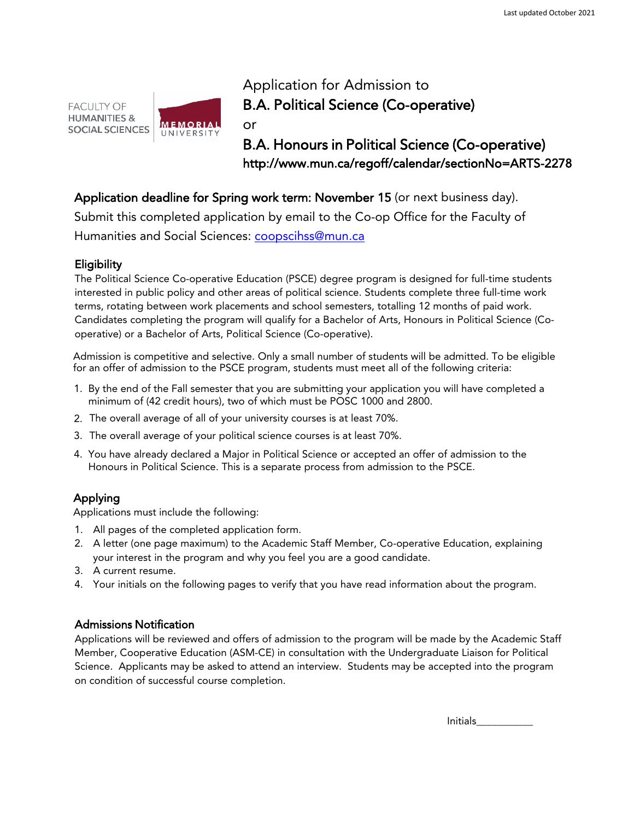



Application for Admission to B.A. Political Science (Co-operative)

B.A. Honours in Political Science (Co-operative) http://www.mun.ca/regoff/calendar/sectionNo=ARTS-2278

# Application deadline for Spring work term: November 15 (or next business day).

Submit this completed application by email to the Co-op Office for the Faculty of [Humanities and So](mailto:coopartsci@mun.ca)cial Sciences: coopscihss@mun.ca

## Eligibility

The Political Science Co-operative Education (PSCE) degree program is designed for full-time students interested in public policy and other areas of political science. Students complete three full-time work terms, rotating between work placements and school semesters, totalling 12 months of paid work. Candidates completing the program will qualify for a Bachelor of Arts, Honours in Political Science (Cooperative) or a Bachelor of Arts, Political Science (Co-operative).

Admission is competitive and selective. Only a small number of students will be admitted. To be eligible for an offer of admission to the PSCE program, students must meet all of the following criteria:

- 1. By the end of the Fall semester that you are submitting your application you will have completed a minimum of (42 credit hours), two of which must be POSC 1000 and 2800.
- 2. The overall average of all of your university courses is at least 70%.
- 3. The overall average of your political science courses is at least 70%.
- 4. You have already declared a Major in Political Science or accepted an offer of admission to the Honours in Political Science. This is a separate process from admission to the PSCE.

# Applying

Applications must include the following:

- 1. All pages of the completed application form.
- 2. A letter (one page maximum) to the Academic Staff Member, Co-operative Education, explaining your interest in the program and why you feel you are a good candidate.
- 3. A current resume.
- 4. Your initials on the following pages to verify that you have read information about the program.

## Admissions Notification

Applications will be reviewed and offers of admission to the program will be made by the Academic Staff Member, Cooperative Education (ASM-CE) in consultation with the Undergraduate Liaison for Political Science. Applicants may be asked to attend an interview. Students may be accepted into the program on condition of successful course completion.

Initials\_\_\_\_\_\_\_\_\_\_\_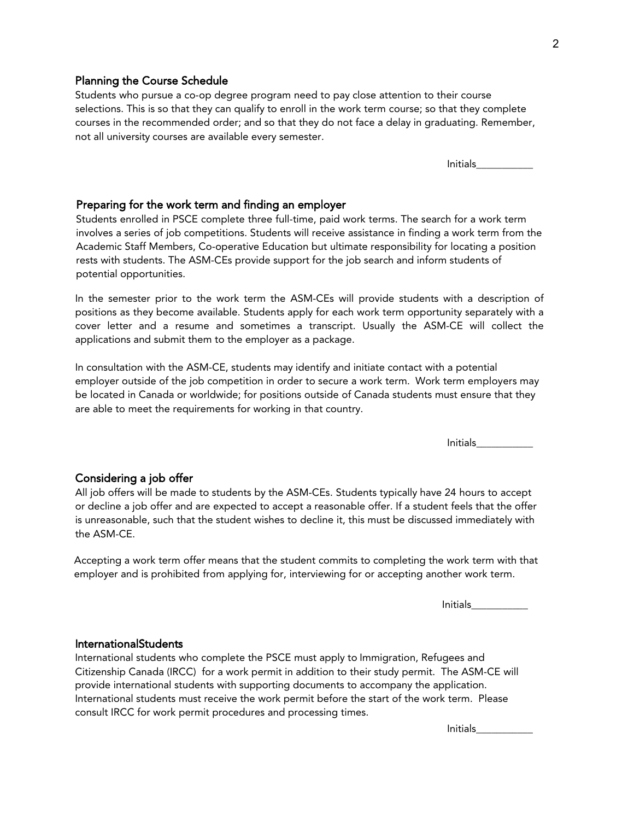## Planning the Course Schedule

Students who pursue a co-op degree program need to pay close attention to their course selections. This is so that they can qualify to enroll in the work term course; so that they complete courses in the recommended order; and so that they do not face a delay in graduating. Remember, not all university courses are available every semester.

Initials\_\_\_\_\_\_\_\_\_\_\_

### Preparing for the work term and finding an employer

Students enrolled in PSCE complete three full-time, paid work terms. The search for a work term involves a series of job competitions. Students will receive assistance in finding a work term from the Academic Staff Members, Co-operative Education but ultimate responsibility for locating a position rests with students. The ASM-CEs provide support for the job search and inform students of potential opportunities.

In the semester prior to the work term the ASM-CEs will provide students with a description of positions as they become available. Students apply for each work term opportunity separately with a cover letter and a resume and sometimes a transcript. Usually the ASM-CE will collect the applications and submit them to the employer as a package.

In consultation with the ASM-CE, students may identify and initiate contact with a potential employer outside of the job competition in order to secure a work term. Work term employers may be located in Canada or worldwide; for positions outside of Canada students must ensure that they are able to meet the requirements for working in that country.

Initials\_\_\_\_\_\_\_\_\_\_\_

#### Considering a job offer

All job offers will be made to students by the ASM-CEs. Students typically have 24 hours to accept or decline a job offer and are expected to accept a reasonable offer. If a student feels that the offer is unreasonable, such that the student wishes to decline it, this must be discussed immediately with the ASM-CE.

Accepting a work term offer means that the student commits to completing the work term with that employer and is prohibited from applying for, interviewing for or accepting another work term.

 $Initials$ 

## **International Students**

International students who complete the PSCE must apply to Immigration, Refugees and Citizenship Canada (IRCC) for a work permit in addition to their study permit. The ASM-CE will provide international students with supporting documents to accompany the application. International students must receive the work permit before the start of the work term. Please consult IRCC for work permit procedures and processing times.

Initials\_\_\_\_\_\_\_\_\_\_\_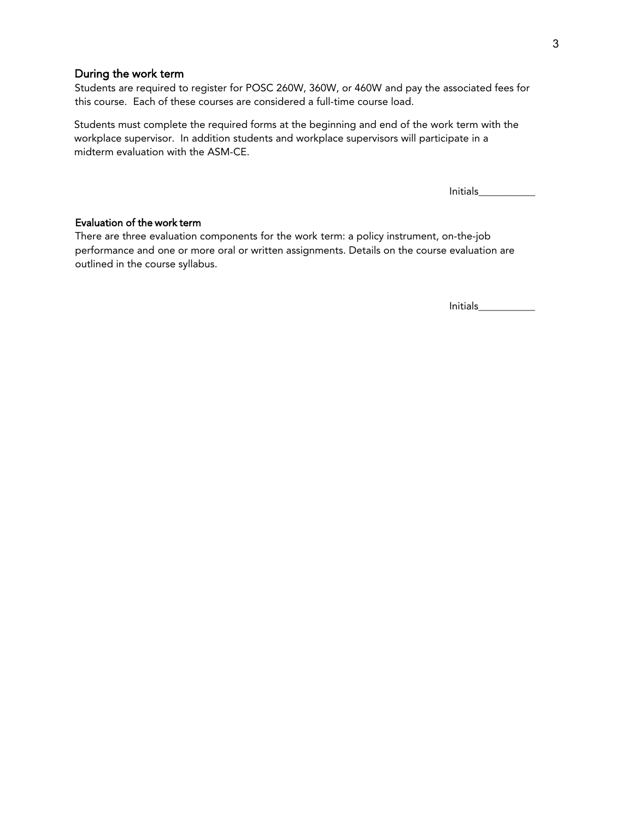## During the work term

Students are required to register for POSC 260W, 360W, or 460W and pay the associated fees for this course. Each of these courses are considered a full-time course load.

Students must complete the required forms at the beginning and end of the work term with the workplace supervisor. In addition students and workplace supervisors will participate in a midterm evaluation with the ASM-CE.

Initials\_\_\_\_\_\_\_\_\_\_\_

## Evaluation of the work term

There are three evaluation components for the work term: a policy instrument, on-the-job performance and one or more oral or written assignments. Details on the course evaluation are outlined in the course syllabus.

Initials\_\_\_\_\_\_\_\_\_\_\_